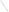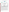## **THE ENVIRONMENTAL TECHNOLOGY VERIFICATION**







# **ETV Joint Verification Statement**

| <b>TECHNOLOGY TYPE:</b>              | <b>AMBIENT AMMONIA MONITOR</b>                                            |                    |  |  |  |
|--------------------------------------|---------------------------------------------------------------------------|--------------------|--|--|--|
| <b>APPLICATION:</b>                  | <b>MEASURING AMMONIA EMISSIONS AT ANIMAL</b><br><b>FEEDING OPERATIONS</b> |                    |  |  |  |
|                                      | TECHNOLOGY NAME: Nitrolux <sup>™</sup> 1000 Ammonia Analyzer              |                    |  |  |  |
| <b>COMPANY:</b>                      | Pranalytica, Inc.                                                         |                    |  |  |  |
| <b>ADDRESS:</b>                      | 1101 Colorado Avenue<br>Santa Monica, California 90401 FAX: 310-458-0171  | PHONE:310-458-3345 |  |  |  |
| <b>WEB SITE:</b><br>$E\text{-}MAIL:$ | www.pranalytica.com/<br>webber@pranalytica.com                            |                    |  |  |  |

The U.S. Environmental Protection Agency (EPA) supports the Environmental Technology Verification (ETV) Program to facilitate the deployment of innovative or improved environmental technologies through performance verification and dissemination of information. The goal of the ETV Program is to further environmental protection by accelerating the acceptance and use of improved and cost-effective technologies. ETV seeks to achieve this goal by providing high-quality, peer-reviewed data on technology performance to those involved in the design, distribution, financing, permitting, purchase, and use of environmental technologies. Information and ETV documents are available at www.epa.gov/etv.

ETV works in partnership with recognized standards and testing organizations, with stakeholder groups (consisting of buyers, vendor organizations, and permitters), and with individual technology developers. The program evaluates the performance of innovative technologies by developing test plans that are responsive to the needs of stakeholders, conducting field or laboratory tests (as appropriate), collecting and analyzing data, and preparing peer-reviewed reports. All evaluations are conducted in accordance with rigorous quality assurance (QA) protocols to ensure that data of known and adequate quality are generated and that the results are defensible.

The Advanced Monitoring Systems (AMS) Center, one of seven technology areas under ETV, is operated by Battelle in cooperation with EPA's National Exposure Research Laboratory. In collaboration with the U.S. Department of Agriculture, the AMS Center has recently evaluated the performance of ambient ammonia  $(NH_3)$ monitors to measure  $NH_3$  emissions. This verification statement provides a summary of the test results for the Pranalytica Nitrolux 1000 NH<sub>3</sub> analyzer.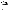### **VERIFICATION TEST DESCRIPTION**

The objective of this verification test was to evaluate the Nitrolux 1000's performance in measuring gaseous  $NH<sub>3</sub>$ in ambient air at two animal feeding operations. The verification test was conducted in two phases, each at separate animal feeding operations. The first phase of testing was conducted between September 8 and October 3, 2003, at a swine finishing farm near Ames, Iowa. The second phase was conducted between October 20 and November 14, 2003, at a cattle feedlot in Carroll, Iowa. These sites were selected to provide realistic testing conditions and were expected to exhibit a wide range of  $NH<sub>3</sub>$  concentrations during the test periods. The verification test was designed to evaluate relative accuracy (RA), linearity, precision, response time, calibration and zero drift, interference effects, comparability, ease of use, and data completeness.

During Weeks 1 and 4 of each phase of the verification test, the Nitrolux 1000 response to a series of  $NH<sub>3</sub>$  gas standards of known concentration was used to quantify RA, linearity, precision, and calibration/zero drift. Ammonia gas standards ranging from 0 to 10,000 parts per billion (ppb)  $NH_3$  and 0 to 2,000 ppb  $NH_3$  were delivered during Phases I and II, respectively. The Nitrolux 1000 response time, the time to reach 95% of the change in the stable signal, was also assessed during the delivery of the gas standards. During the second phase, interference effects were quantified from the Nitrolux 1000 response to various chemical species that may be present at animal feeding operations; the potential interferent gases were delivered both in the presence and absence of NH3. The Nitrolux 1000 continuous response to ambient air also was evaluated during both phases as the comparability to simultaneous determinations by a time-integrated ambient  $NH<sub>3</sub>$  reference method (acid-coated denuders). Comparisons were made with reference samples that were collected on a five-per-day schedule for periods of between 2 to 12 hours for approximately 10 days during each phase, based on procedures in EPA Method IO-4.2.

QA oversight of verification testing was provided by Battelle and EPA. Battelle QA staff conducted a technical systems audit, a performance evaluation audit, and a data quality audit of 10% of the test data. This verification statement, the full report on which it is based, and the test/QA plan for this verification test are all available at www.epa.gov/etv/centers/center1.html.

#### **TECHNOLOGY DESCRIPTION**

The following description of the Nitrolux 1000 was provided by the vendor and does not represent verified information.

The Nitrolux 1000 is an ambient  $NH<sub>3</sub>$  analyzer that uses resonant photoacoustic spectroscopy and a line-tunable carbon dioxide (CO<sub>2</sub>) laser to provide continuous or on-demand measurements. A CO<sub>2</sub> laser is useful to excite NH<sub>3</sub> because one of its laser lines is nearly coincident with one of  $NH<sub>3</sub>$ 's strongest spectral features. The excited  $NH<sub>3</sub>$ molecules undergo collisional deactivation, which converts the absorbed energy into periodic local heating at the modulation frequency of the laser. The resulting acoustic waves are detected with a low-noise microphone to quantify  $NH<sub>3</sub>$  with minimal interferences from carbon monoxide, hydrogen sulfide, methane, sulfur oxides, nitrogen oxides, ozone, and other contributors at their typical concentrations in a non-polluted atmosphere.

The Nitrolux 1000 is sensitive to  $NH_3$  concentrations of 1 ppb and has a range of 0 to 2,000 ppb with full-scale ranges of 20 to 2,000 ppb by automatic or manual switching. The Nitrolux 1000 consists of a sealed-off radiofrequency-excited  ${}^{13}CO_2$  laser, whose operating wavelength can be line-switched by using an intracavity grating, a flow-through analysis cell, a laser power meter, a signal processor, and a single-board computer for controlling all internal operations and analyzing the signals to produce concentration readings in real time. Optional analysis cells allow for simultaneous measurement of two to 16 input streams. Samples are extracted in a continuous mode at approximately 400 to 500 standard cubic centimeters (cm) per minute and pass through a 40 micrometer in-line filter to remove particulate matter. Time-stamped NH<sub>3</sub> concentration measurements are stored on an internal hard disk.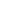Power requirements of the Nitrolux 1000 are 150 Watts at 110 volts, 60 Hertz alternating current. It comes with a rack-mountable foldout 15-inch flat-panel display, including keyboard and mouse. The rack mount is 40.3 cm (19 inches) wide, 61.0 cm (24 inches) deep, and 25.4 cm (10 inches) high. It weighs 29.5 kilograms (65 pounds). The approximate cost of the Nitrolux 1000 with rack mount display is \$24,000. Additional particulate filters cost \$250 each, and mounting rails for installation are \$150 per pair.

## **VERIFICATION OF PERFORMANCE**

The performance of the Nitrolux 1000 was evaluated in two phases in this verification test. During both phases of the verification test, the Nitrolux 1000 was installed inside a temperature-regulated instrument trailer, with a Teflon tube used to draw the outside air into the Nitrolux 1000 inlet. The following presents a summary of the performance of the Nitrolux 1000 during this verification test. The values presented in this table are based on discrete measurements taken every 60 seconds and recorded by the Nitrolux 1000. Values in parentheses are 95% confidence intervals.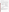|                                        | <b>Results</b>                                                                                                                                                                                                                  |                                                                            |                                                                               |                                                                                                                                                                                                                                              |                                                                                 |                                                                                 |  |  |
|----------------------------------------|---------------------------------------------------------------------------------------------------------------------------------------------------------------------------------------------------------------------------------|----------------------------------------------------------------------------|-------------------------------------------------------------------------------|----------------------------------------------------------------------------------------------------------------------------------------------------------------------------------------------------------------------------------------------|---------------------------------------------------------------------------------|---------------------------------------------------------------------------------|--|--|
|                                        | <b>Phase I</b>                                                                                                                                                                                                                  |                                                                            |                                                                               | Phase II                                                                                                                                                                                                                                     |                                                                                 |                                                                                 |  |  |
| <b>Parameter</b>                       |                                                                                                                                                                                                                                 | Week 1                                                                     | Week 4                                                                        |                                                                                                                                                                                                                                              | Week 1                                                                          | Week 4                                                                          |  |  |
| Relative<br>accuracy <sup>(a)(b)</sup> | Average RA<br>% $D^{(c)}$ range                                                                                                                                                                                                 | 27%<br>20 to 34%                                                           | 10%<br>$-21$ to $-7%$                                                         | Average RA<br>%D range                                                                                                                                                                                                                       | 44%<br>$-48$ to $-41%$                                                          | 40%<br>$-54$ to $-28%$                                                          |  |  |
| Linearity <sup>(a)</sup>               | Range<br>Slope<br>Intercept                                                                                                                                                                                                     | 0 to $5,000$ ppb<br>$1.25 \ (\pm 0.02)$<br>13.2 ppb $(\pm 34.1)$<br>0.9997 | 0 to 10,000 ppb<br>$0.798 (\pm 0.071)^{(d)}$<br>167 ppb $(\pm 310)$<br>0.9940 | Range<br>Slope<br>Intercept<br>$r^2$                                                                                                                                                                                                         | 0 to $2,000$ ppb<br>$0.586 (\pm 0.022)$<br>$-12.2$ ppb ( $\pm 24.9$ )<br>0.9993 | $0$ to $2,000$ ppb<br>$0.716 (\pm 0.121)$<br>$-58.5$ ppb ( $\pm$ 137)<br>0.9854 |  |  |
| Precision $(a)$                        | Average RSD <sup>(e)</sup><br>Range                                                                                                                                                                                             | 0.2%<br>$0.1$ to $0.5%$                                                    | 0.6%<br>0.2 to 1.3%                                                           | Average RSD 1.0%<br>Range                                                                                                                                                                                                                    | 0.3 to 2.3%                                                                     | 1.3%<br>1.2 to 1.5%                                                             |  |  |
| Response time                          | Rise time = $54$ to 1,893 seconds<br>Fall time $= 54$ to 214 seconds                                                                                                                                                            |                                                                            |                                                                               | Rise time = $108$ to 1,808 seconds<br>Fall time $= 108$ to 231 seconds                                                                                                                                                                       |                                                                                 |                                                                                 |  |  |
| Calibration/<br>zero drift             | No apparent drift in response to zero air during<br>Week 1 or Week 4.<br>• Apparent drift of approximately 44% in response to<br>1,000 ppb NH <sub>3</sub> observed during Week 1. No apparent<br>drift observed during Week 4. |                                                                            |                                                                               | No apparent drift in response to zero air during<br>Week 1 or Week 4.<br>Apparent drift of approximately 13% in response to<br>1,000 ppb $NH3$ between Week 1 and Week 4.                                                                    |                                                                                 |                                                                                 |  |  |
| Interference<br>effects <sup>(f)</sup> | Interference check conducted during Phase II.                                                                                                                                                                                   |                                                                            |                                                                               | Hydrogen sulfide (285 ppb): no apparent effect<br>Nitrogen dioxide (95 ppb): no apparent effect<br>1,3-Butadiene (95 ppb): no apparent effect<br>Diethylamine (96 ppb): ~19% response in zero air,<br>no apparent effect in 500 ppb $NH3(g)$ |                                                                                 |                                                                                 |  |  |
|                                        |                                                                                                                                                                                                                                 | Raw Data <sup>(a)</sup>                                                    | Corrected Data <sup>(h)</sup>                                                 |                                                                                                                                                                                                                                              | Raw Data <sup>(a)</sup>                                                         | Corrected Data <sup>(h)</sup>                                                   |  |  |
| Comparability                          | Slope<br>Intercept                                                                                                                                                                                                              | $1.83 \ (\pm 0.07)$<br>4.77 $(\pm 34.01)$<br>0.9842                        | 1.46 $(\pm 0.06)$<br>$-6.7 (\pm 27.2)$<br>0.9842                              | Slope<br>Intercept<br>$r^2$                                                                                                                                                                                                                  | $0.646 (\pm 0.03)$<br>$0.43 (\pm 4.1)$<br>0.9794                                | $1.10 \ (\pm 0.06)$<br>$21.6 (\pm 7.0)$<br>0.9794                               |  |  |
| Ease of use                            | • Daily checks were simple and quick<br>• Little skill required to operate<br>$\blacksquare$ No maintenance required<br><b>User-friendly software</b>                                                                           |                                                                            |                                                                               |                                                                                                                                                                                                                                              |                                                                                 |                                                                                 |  |  |
| Data<br>completeness                   | 99%                                                                                                                                                                                                                             |                                                                            |                                                                               | 99%                                                                                                                                                                                                                                          |                                                                                 |                                                                                 |  |  |

<sup>(a)</sup> Results are based on Nitrolux 1000 factory calibration, since on-site calibration was not performed. On-site calibration is generally included in Nitrolux 1000 installation procedures, but an independent NH<sub>3</sub> standard was not available during the verification test.

(b) Relative accuracy is expressed as an average absolute value of the percent difference from NH<sub>3</sub> gas standards.

 $%D =$  Percent difference.

<sup>(d)</sup> Including only data from 0 to 5,000 ppb, the slope was 0.924 ( $\pm$ 0.006), with an intercept of -12.8 ( $\pm$ 34.4), and an r<sup>2</sup> of 0.9998. The linear range for the Nitrolux 1000 is reported to be 0 to 2,000 ppb by the manufacturer.

(e)  $RSD = Relative standard deviation.$ <br>(f) Calculated as the change in signal di

(f) Calculated as the change in signal divided by the interferent gas concentration, expressed as a percentage.<br>(g) The presence of an NH impurity in the diethylamine ass standard or the release of NH from the sample li

The presence of an NH<sub>3</sub> impurity in the diethylamine gas standard or the release of NH<sub>3</sub> from the sample lines during delivery could not be ruled out.

(h) Results of Week 1 linearity check were used to apply a calibration correction to the Nitrolux 1000 ambient data.